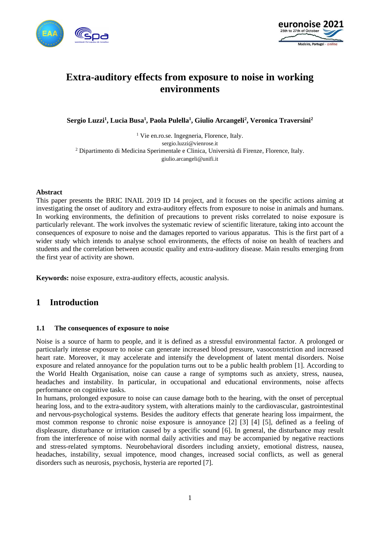



# **Extra-auditory effects from exposure to noise in working environments**

**Sergio Luzzi<sup>1</sup> , Lucia Busa<sup>1</sup> , Paola Pulella<sup>1</sup> , Giulio Arcangeli<sup>2</sup> , Veronica Traversini<sup>2</sup>**

<sup>1</sup> Vie en.ro.se. Ingegneria, Florence, Italy. sergio.luzzi@vienrose.it <sup>2</sup> Dipartimento di Medicina Sperimentale e Clinica, Università di Firenze, Florence, Italy. giulio.arcangeli@unifi.it

### **Abstract**

This paper presents the BRIC INAIL 2019 ID 14 project, and it focuses on the specific actions aiming at investigating the onset of auditory and extra-auditory effects from exposure to noise in animals and humans. In working environments, the definition of precautions to prevent risks correlated to noise exposure is particularly relevant. The work involves the systematic review of scientific literature, taking into account the consequences of exposure to noise and the damages reported to various apparatus. This is the first part of a wider study which intends to analyse school environments, the effects of noise on health of teachers and students and the correlation between acoustic quality and extra-auditory disease. Main results emerging from the first year of activity are shown.

**Keywords:** noise exposure, extra-auditory effects, acoustic analysis.

## **1 Introduction**

### **1.1 The consequences of exposure to noise**

Noise is a source of harm to people, and it is defined as a stressful environmental factor. A prolonged or particularly intense exposure to noise can generate increased blood pressure, vasoconstriction and increased heart rate. Moreover, it may accelerate and intensify the development of latent mental disorders. Noise exposure and related annoyance for the population turns out to be a public health problem [1]. According to the World Health Organisation, noise can cause a range of symptoms such as anxiety, stress, nausea, headaches and instability. In particular, in occupational and educational environments, noise affects performance on cognitive tasks.

In humans, prolonged exposure to noise can cause damage both to the hearing, with the onset of perceptual hearing loss, and to the extra-auditory system, with alterations mainly to the cardiovascular, gastrointestinal and nervous-psychological systems. Besides the auditory effects that generate hearing loss impairment, the most common response to chronic noise exposure is annoyance [2] [3] [4] [5], defined as a feeling of displeasure, disturbance or irritation caused by a specific sound [6]. In general, the disturbance may result from the interference of noise with normal daily activities and may be accompanied by negative reactions and stress-related symptoms. Neurobehavioral disorders including anxiety, emotional distress, nausea, headaches, instability, sexual impotence, mood changes, increased social conflicts, as well as general disorders such as neurosis, psychosis, hysteria are reported [7].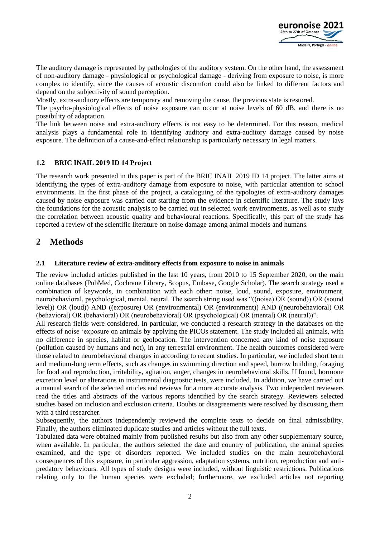

The auditory damage is represented by pathologies of the auditory system. On the other hand, the assessment of non-auditory damage - physiological or psychological damage - deriving from exposure to noise, is more complex to identify, since the causes of acoustic discomfort could also be linked to different factors and depend on the subjectivity of sound perception.

Mostly, extra-auditory effects are temporary and removing the cause, the previous state is restored.

The psycho-physiological effects of noise exposure can occur at noise levels of 60 dB, and there is no possibility of adaptation.

The link between noise and extra-auditory effects is not easy to be determined. For this reason, medical analysis plays a fundamental role in identifying auditory and extra-auditory damage caused by noise exposure. The definition of a cause-and-effect relationship is particularly necessary in legal matters.

### **1.2 BRIC INAIL 2019 ID 14 Project**

The research work presented in this paper is part of the BRIC INAIL 2019 ID 14 project. The latter aims at identifying the types of extra-auditory damage from exposure to noise, with particular attention to school environments. In the first phase of the project, a cataloguing of the typologies of extra-auditory damages caused by noise exposure was carried out starting from the evidence in scientific literature. The study lays the foundations for the acoustic analysis to be carried out in selected work environments, as well as to study the correlation between acoustic quality and behavioural reactions. Specifically, this part of the study has reported a review of the scientific literature on noise damage among animal models and humans.

# **2 Methods**

### **2.1 Literature review of extra-auditory effects from exposure to noise in animals**

The review included articles published in the last 10 years, from 2010 to 15 September 2020, on the main online databases (PubMed, Cochrane Library, Scopus, Embase, Google Scholar). The search strategy used a combination of keywords, in combination with each other: noise, loud, sound, exposure, environment, neurobehavioral, psychological, mental, neural. The search string used was "((noise) OR (sound)) OR (sound level)) OR (loud)) AND ((exposure) OR (environmental) OR (environment)) AND ((neurobehavioral) OR (behavioral) OR (behavioral) OR (neurobehavioral) OR (psychological) OR (mental) OR (neural))".

All research fields were considered. In particular, we conducted a research strategy in the databases on the effects of noise 'exposure on animals by applying the PICOs statement. The study included all animals, with no difference in species, habitat or geolocation. The intervention concerned any kind of noise exposure (pollution caused by humans and not), in any terrestrial environment. The health outcomes considered were those related to neurobehavioral changes in according to recent studies. In particular, we included short term and medium-long term effects, such as changes in swimming direction and speed, burrow building, foraging for food and reproduction, irritability, agitation, anger, changes in neurobehavioral skills. If found, hormone excretion level or alterations in instrumental diagnostic tests, were included. In addition, we have carried out a manual search of the selected articles and reviews for a more accurate analysis. Two independent reviewers read the titles and abstracts of the various reports identified by the search strategy. Reviewers selected studies based on inclusion and exclusion criteria. Doubts or disagreements were resolved by discussing them with a third researcher.

Subsequently, the authors independently reviewed the complete texts to decide on final admissibility. Finally, the authors eliminated duplicate studies and articles without the full texts.

Tabulated data were obtained mainly from published results but also from any other supplementary source, when available. In particular, the authors selected the date and country of publication, the animal species examined, and the type of disorders reported. We included studies on the main neurobehavioral consequences of this exposure, in particular aggression, adaptation systems, nutrition, reproduction and antipredatory behaviours. All types of study designs were included, without linguistic restrictions. Publications relating only to the human species were excluded; furthermore, we excluded articles not reporting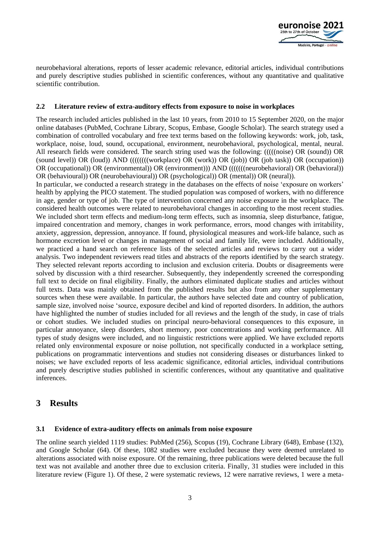

neurobehavioral alterations, reports of lesser academic relevance, editorial articles, individual contributions and purely descriptive studies published in scientific conferences, without any quantitative and qualitative scientific contribution.

### **2.2 Literature review of extra-auditory effects from exposure to noise in workplaces**

The research included articles published in the last 10 years, from 2010 to 15 September 2020, on the major online databases (PubMed, Cochrane Library, Scopus, Embase, Google Scholar). The search strategy used a combination of controlled vocabulary and free text terms based on the following keywords: work, job, task, workplace, noise, loud, sound, occupational, environment, neurobehavioral, psychological, mental, neural. All research fields were considered. The search string used was the following: (((((noise) OR (sound)) OR (sound level)) OR (loud)) AND ((((((((workplace) OR (work)) OR (job)) OR (job task)) OR (occupation)) OR (occupational)) OR (environmental)) OR (environment))) AND (((((((neurobehavioral) OR (behavioral)) OR (behavioural)) OR (neurobehavioural)) OR (psychological)) OR (mental)) OR (neural)).

In particular, we conducted a research strategy in the databases on the effects of noise 'exposure on workers' health by applying the PICO statement. The studied population was composed of workers, with no difference in age, gender or type of job. The type of intervention concerned any noise exposure in the workplace. The considered health outcomes were related to neurobehavioral changes in according to the most recent studies. We included short term effects and medium-long term effects, such as insomnia, sleep disturbance, fatigue, impaired concentration and memory, changes in work performance, errors, mood changes with irritability, anxiety, aggression, depression, annoyance. If found, physiological measures and work-life balance, such as hormone excretion level or changes in management of social and family life, were included. Additionally, we practiced a hand search on reference lists of the selected articles and reviews to carry out a wider analysis. Two independent reviewers read titles and abstracts of the reports identified by the search strategy. They selected relevant reports according to inclusion and exclusion criteria. Doubts or disagreements were solved by discussion with a third researcher. Subsequently, they independently screened the corresponding full text to decide on final eligibility. Finally, the authors eliminated duplicate studies and articles without full texts. Data was mainly obtained from the published results but also from any other supplementary sources when these were available. In particular, the authors have selected date and country of publication, sample size, involved noise 'source, exposure decibel and kind of reported disorders. In addition, the authors have highlighted the number of studies included for all reviews and the length of the study, in case of trials or cohort studies. We included studies on principal neuro-behavioral consequences to this exposure, in particular annoyance, sleep disorders, short memory, poor concentrations and working performance. All types of study designs were included, and no linguistic restrictions were applied. We have excluded reports related only environmental exposure or noise pollution, not specifically conducted in a workplace setting, publications on programmatic interventions and studies not considering diseases or disturbances linked to noises; we have excluded reports of less academic significance, editorial articles, individual contributions and purely descriptive studies published in scientific conferences, without any quantitative and qualitative inferences.

### **3 Results**

#### **3.1 Evidence of extra-auditory effects on animals from noise exposure**

The online search yielded 1119 studies: PubMed (256), Scopus (19), Cochrane Library (648), Embase (132), and Google Scholar (64). Of these, 1082 studies were excluded because they were deemed unrelated to alterations associated with noise exposure. Of the remaining, three publications were deleted because the full text was not available and another three due to exclusion criteria. Finally, 31 studies were included in this literature review (Figure 1). Of these, 2 were systematic reviews, 12 were narrative reviews, 1 were a meta-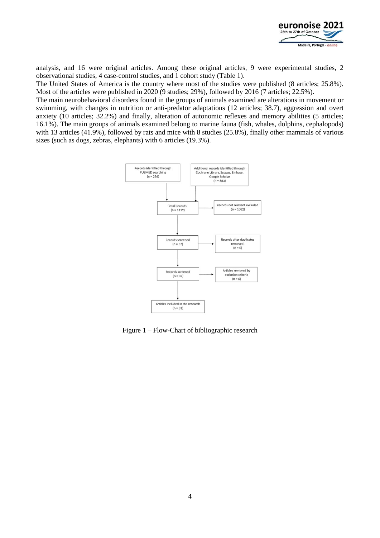

analysis, and 16 were original articles. Among these original articles, 9 were experimental studies, 2 observational studies, 4 case-control studies, and 1 cohort study (Table 1).

The United States of America is the country where most of the studies were published (8 articles; 25.8%). Most of the articles were published in 2020 (9 studies; 29%), followed by 2016 (7 articles; 22.5%).

The main neurobehavioral disorders found in the groups of animals examined are alterations in movement or swimming, with changes in nutrition or anti-predator adaptations (12 articles; 38.7), aggression and overt anxiety (10 articles; 32.2%) and finally, alteration of autonomic reflexes and memory abilities (5 articles; 16.1%). The main groups of animals examined belong to marine fauna (fish, whales, dolphins, cephalopods) with 13 articles (41.9%), followed by rats and mice with 8 studies (25.8%), finally other mammals of various sizes (such as dogs, zebras, elephants) with 6 articles (19.3%).



Figure 1 – Flow-Chart of bibliographic research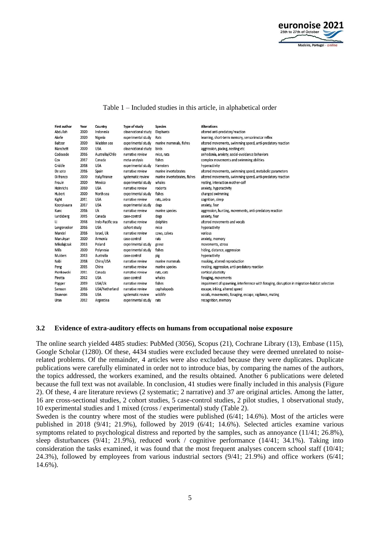

| <b>First author</b> | Year | Country          | <b>Type of study</b> | <b>Species</b>               | <b>Alterations</b>                                                                            |
|---------------------|------|------------------|----------------------|------------------------------|-----------------------------------------------------------------------------------------------|
| Abdullah            | 2020 | Indonesia        | observational study  | Elephants                    | altered anti-predatory'reaction                                                               |
| Akefe               | 2020 | Nigeria          | experimental study   | Rats                         | learning, short-term memory, sensorimotor reflex                                              |
| Baltzer             | 2020 | Wadden sea       | experimental study   | marine mammals, fishes       | altered movements, swimming speed, anti-predatory reaction                                    |
| Blanchett           | 2020 | <b>USA</b>       | observational study  | birds                        | aggression, pacing, nesting etc                                                               |
| Codocedo            | 2016 | Australia/Chile  | narrative review     | mice, rats                   | anhedonia, anxiety, social-avoidance behaviors                                                |
| Cox                 | 2017 | Canada           | meta-analysis        | fishes                       | complex movements and swimming abilities                                                      |
| Criddle             | 2018 | <b>USA</b>       | experimental study   | Hamsters                     | hyperactivity                                                                                 |
| De soto             | 2016 | Spain            | narrative review     | marine invertebrates         | altered movements, swimming speed, metabolic parameters                                       |
| Di franco           | 2020 | Italy/France     | systematic review    | marine invertebrates, fishes | altered movements, swimming speed, anti-predatory reaction                                    |
| Frouin              | 2020 | Mexico           | experimental study   | whales                       | resting, interaction mother-calf                                                              |
| Heinrichs           | 2010 | <b>USA</b>       | narrative review     | rodents                      | anxiety, hyperactivity                                                                        |
| Hubert              | 2020 | North sea        | experimental study   | fishes                       | changed swimming                                                                              |
| Kight               | 2011 | <b>USA</b>       | narrative review     | rats, zebra                  | cognition, sleep                                                                              |
| Koorpivaara         | 2017 | <b>USA</b>       | experimental study   | dogs                         | anxiety, fear                                                                                 |
| Kunc                | 2016 | Uk               | narrative review     | marine species               | aggression, hunting, movements, anti-predatory reaction                                       |
| Landsberg           | 2015 | Canada           | case-control         | dogs                         | anxiety, fear                                                                                 |
| Li                  | 2018 | Indo-Pacific sea | narrative review     | dolphins                     | altered movements and vocals                                                                  |
| Longenecker         | 2016 | <b>USA</b>       | cohort study         | mice                         | hyperactivity                                                                                 |
| Mandel              | 2016 | Israel, Uk       | narrative review     | cows, calves                 | various                                                                                       |
| Manukyan            | 2020 | Armenia          | case-control         | rats                         | anxiety, memory                                                                               |
| Mikolajczak         | 2013 | Poland           | experimental study   | geese                        | movements, stress                                                                             |
| Mills               | 2020 | Polynesia        | experimental study   | fishes                       | hiding, distance, aggression                                                                  |
| Mulders             | 2013 | Australia        | case-control         | pig                          | hyperactivity                                                                                 |
| Nabi                | 2018 | China/USA        | narrative review     | marine mammals               | masking, altered reproduction                                                                 |
| Peng                | 2015 | China            | narrative review     | marine species               | nesting, aggression, anti-predatory reaction                                                  |
| Pienkowski          | 2011 | Canada           | narrative review     | rats, cats                   | cortical plasticity                                                                           |
| Pirotta             | 2012 | <b>USA</b>       | case-control         | whales                       | foraging, movements                                                                           |
| Popper              | 2019 | USA/Uk           | narrative review     | fishes                       | impairment of spawning, interference with foraging, disruption in migration-habitat selection |
| Samson              | 2016 | USA/Netherland   | narrative review     | cephalopods                  | escape, inking, altered speed                                                                 |
| Shannon             | 2016 | <b>USA</b>       | systematic review    | wildlife                     | vocals, movements, foraging, escape, vigilance, mating                                        |
| Uran                | 2012 | Argentina        | experimental study   | rats                         | recognition, memory                                                                           |
|                     |      |                  |                      |                              |                                                                                               |

### Table 1 – Included studies in this article, in alphabetical order

#### **3.2 Evidence of extra-auditory effects on humans from occupational noise exposure**

The online search yielded 4485 studies: PubMed (3056), Scopus (21), Cochrane Library (13), Embase (115), Google Scholar (1280). Of these, 4434 studies were excluded because they were deemed unrelated to noiserelated problems. Of the remainder, 4 articles were also excluded because they were duplicates. Duplicate publications were carefully eliminated in order not to introduce bias, by comparing the names of the authors, the topics addressed, the workers examined, and the results obtained. Another 6 publications were deleted because the full text was not available. In conclusion, 41 studies were finally included in this analysis (Figure 2). Of these, 4 are literature reviews (2 systematic; 2 narrative) and 37 are original articles. Among the latter, 16 are cross-sectional studies, 2 cohort studies, 5 case-control studies, 2 pilot studies, 1 observational study, 10 experimental studies and 1 mixed (cross / experimental) study (Table 2).

Sweden is the country where most of the studies were published (6/41; 14.6%). Most of the articles were published in 2018 (9/41; 21.9%), followed by 2019 (6/41; 14.6%). Selected articles examine various symptoms related to psychological distress and reported by the samples, such as annoyance (11/41; 26.8%), sleep disturbances (9/41; 21.9%), reduced work / cognitive performance (14/41; 34.1%). Taking into consideration the tasks examined, it was found that the most frequent analyses concern school staff (10/41; 24.3%), followed by employees from various industrial sectors (9/41; 21.9%) and office workers (6/41; 14.6%).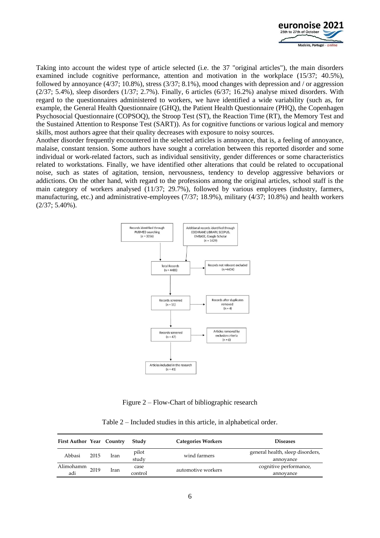

Taking into account the widest type of article selected (i.e. the 37 "original articles"), the main disorders examined include cognitive performance, attention and motivation in the workplace (15/37; 40.5%), followed by annoyance (4/37; 10.8%), stress (3/37; 8.1%), mood changes with depression and / or aggression  $(2/37; 5.4\%)$ , sleep disorders  $(1/37; 2.7\%)$ . Finally, 6 articles  $(6/37; 16.2\%)$  analyse mixed disorders. With regard to the questionnaires administered to workers, we have identified a wide variability (such as, for example, the General Health Questionnaire (GHQ), the Patient Health Questionnaire (PHQ), the Copenhagen Psychosocial Questionnaire (COPSOQ), the Stroop Test (ST), the Reaction Time (RT), the Memory Test and the Sustained Attention to Response Test (SART)). As for cognitive functions or various logical and memory skills, most authors agree that their quality decreases with exposure to noisy sources.

Another disorder frequently encountered in the selected articles is annoyance, that is, a feeling of annoyance, malaise, constant tension. Some authors have sought a correlation between this reported disorder and some individual or work-related factors, such as individual sensitivity, gender differences or some characteristics related to workstations. Finally, we have identified other alterations that could be related to occupational noise, such as states of agitation, tension, nervousness, tendency to develop aggressive behaviors or addictions. On the other hand, with regard to the professions among the original articles, school staff is the main category of workers analysed (11/37; 29.7%), followed by various employees (industry, farmers, manufacturing, etc.) and administrative-employees (7/37; 18.9%), military (4/37; 10.8%) and health workers (2/37; 5.40%).



Figure 2 – Flow-Chart of bibliographic research

Table 2 – Included studies in this article, in alphabetical order.

| <b>First Author Year Country</b> |      |      | Study   | <b>Categories Workers</b> | <b>Diseases</b>                  |
|----------------------------------|------|------|---------|---------------------------|----------------------------------|
| Abbasi                           | 2015 | Iran | pilot   | wind farmers              | general health, sleep disorders, |
|                                  |      |      | study   |                           | annovance                        |
| Alimohamm                        | 2019 | Iran | case    | automotive workers        | cognitive performance,           |
| adi                              |      |      | control |                           | annovance                        |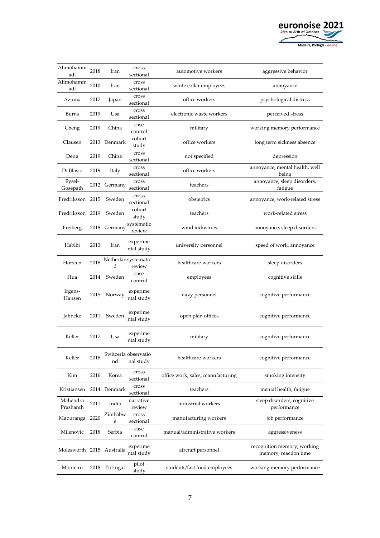

| Alimohamm<br>adi          | 2018 | Iran         | cross<br>sectional                | automotive workers                | aggressive behavior                                  |
|---------------------------|------|--------------|-----------------------------------|-----------------------------------|------------------------------------------------------|
| Alimohamm<br>adi          | 2010 | Iran         | cross<br>sectional                | white collar employees            | annoyance                                            |
| Azuma                     | 2017 | Japan        | cross<br>sectional                | office workers                    | psychological distress                               |
| Burns                     | 2019 | Usa          | cross<br>sectional                | electronic waste workers          | perceived stress                                     |
| Cheng                     | 2019 | China        | case<br>control                   | military                          | working memory performance                           |
| Clausen                   |      | 2013 Denmark | cohort<br>study                   | office workers                    | long term sickness absence                           |
| Deng                      | 2019 | China        | cross<br>sectional                | not specified                     | depression                                           |
| Di Blasio                 | 2019 | Italy        | cross<br>sectional                | office workers                    | annoyance, mental health, well<br>being              |
| Eysel-<br>Gosepath        |      | 2012 Germany | cross<br>sectional                | teachers                          | annoyance, sleep disorders,<br>fatigue               |
| Fredriksson 2015          |      | Sweden       | cross<br>sectional                | obstetrics                        | annoyance, work-related stress                       |
| Fredriksson 2019          |      | Sweden       | cohort<br>study                   | teachers                          | work-related stress                                  |
| Freiberg                  |      | 2018 Germany | systematic<br>review              | wind industries                   | annoyance, sleep disorders                           |
| Habibi                    | 2013 | Iran         | experime<br>ntal study            | university personnel              | speed of work, annoyance                             |
| Horsten                   | 2018 | d            | Netherlan systematic<br>review    | healthcare workers                | sleep disorders                                      |
| Hua                       | 2014 | Sweden       | case<br>control                   | employees                         | cognitive skills                                     |
| Irgens-<br>Hansen         | 2015 | Norway       | experime<br>ntal study            | navy personnel                    | cognitive performance                                |
| Jahncke                   | 2011 | Sweden       | experime<br>ntal study            | open plan offices                 | cognitive performance                                |
| Keller                    | 2017 | Usa          | experime<br>ntal study            | military                          | cognitive performance                                |
| Keller                    | 2018 | nd           | Switzerla observatio<br>nal study | healthcare workers                | cognitive performance                                |
| Kim                       | 2016 | Korea        | cross<br>sectional                | office work, sales, manufacturing | smoking intensity                                    |
| Kristiansen               |      | 2014 Denmark | cross<br>sectional                | teachers                          | mental health, fatigue                               |
| Mahendra<br>Prashanth     | 2011 | India        | narrative<br>review               | industrial workers                | sleep disorders, cognitive<br>performance            |
| Mapuranga                 | 2020 | Zimbabw<br>e | cross<br>sectional                | manufacturing workers             | job performance                                      |
| Milenovic                 | 2018 | Serbia       | case<br>control                   | manual/administrative workers     | aggressiveness                                       |
| Molesworth 2015 Australia |      |              | experime<br>ntal study            | aircraft personnel                | recognition memory, working<br>memory, reaction time |
| Monteiro                  | 2018 | Portugal     | pilot<br>study                    | students/fast food employees      | working memory performance                           |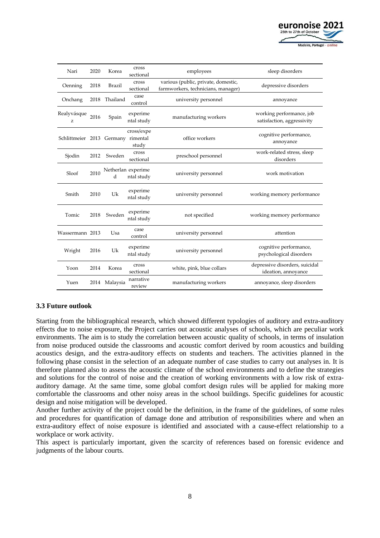

| Nari                               | 2020 | Korea         | cross<br>sectional               | employees                                                                 | sleep disorders                                        |
|------------------------------------|------|---------------|----------------------------------|---------------------------------------------------------------------------|--------------------------------------------------------|
| Oenning                            | 2018 | <b>Brazil</b> | cross<br>sectional               | various (public, private, domestic,<br>farmworkers, technicians, manager) | depressive disorders                                   |
| Onchang                            | 2018 | Thailand      | case<br>control                  | university personnel                                                      | annoyance                                              |
| Realyvásque<br>z                   | 2016 | Spain         | experime<br>ntal study           | manufacturing workers                                                     | working performance, job<br>satisfaction, aggressivity |
| Schlittmeier 2013 Germany rimental |      |               | cross/expe<br>study              | office workers                                                            | cognitive performance,<br>annoyance                    |
| Sjodin                             | 2012 | Sweden        | cross<br>sectional               | preschool personnel                                                       | work-related stress, sleep<br>disorders                |
| Sloof                              | 2010 | d             | Netherlan experime<br>ntal study | university personnel                                                      | work motivation                                        |
| Smith                              | 2010 | Uk            | experime<br>ntal study           | university personnel                                                      | working memory performance                             |
| Tomic                              | 2018 | Sweden        | experime<br>ntal study           | not specified                                                             | working memory performance                             |
| Wassermann 2013                    |      | Usa           | case<br>control                  | university personnel                                                      | attention                                              |
| Wright                             | 2016 | Uk            | experime<br>ntal study           | university personnel                                                      | cognitive performance,<br>psychological disorders      |
| Yoon                               | 2014 | Korea         | cross<br>sectional               | white, pink, blue collars                                                 | depressive disorders, suicidal<br>ideation, annoyance  |
| Yuen                               | 2014 | Malaysia      | narrative<br>review              | manufacturing workers                                                     | annoyance, sleep disorders                             |

### **3.3 Future outlook**

Starting from the bibliographical research, which showed different typologies of auditory and extra-auditory effects due to noise exposure, the Project carries out acoustic analyses of schools, which are peculiar work environments. The aim is to study the correlation between acoustic quality of schools, in terms of insulation from noise produced outside the classrooms and acoustic comfort derived by room acoustics and building acoustics design, and the extra-auditory effects on students and teachers. The activities planned in the following phase consist in the selection of an adequate number of case studies to carry out analyses in. It is therefore planned also to assess the acoustic climate of the school environments and to define the strategies and solutions for the control of noise and the creation of working environments with a low risk of extraauditory damage. At the same time, some global comfort design rules will be applied for making more comfortable the classrooms and other noisy areas in the school buildings. Specific guidelines for acoustic design and noise mitigation will be developed.

Another further activity of the project could be the definition, in the frame of the guidelines, of some rules and procedures for quantification of damage done and attribution of responsibilities where and when an extra-auditory effect of noise exposure is identified and associated with a cause-effect relationship to a workplace or work activity.

This aspect is particularly important, given the scarcity of references based on forensic evidence and judgments of the labour courts.